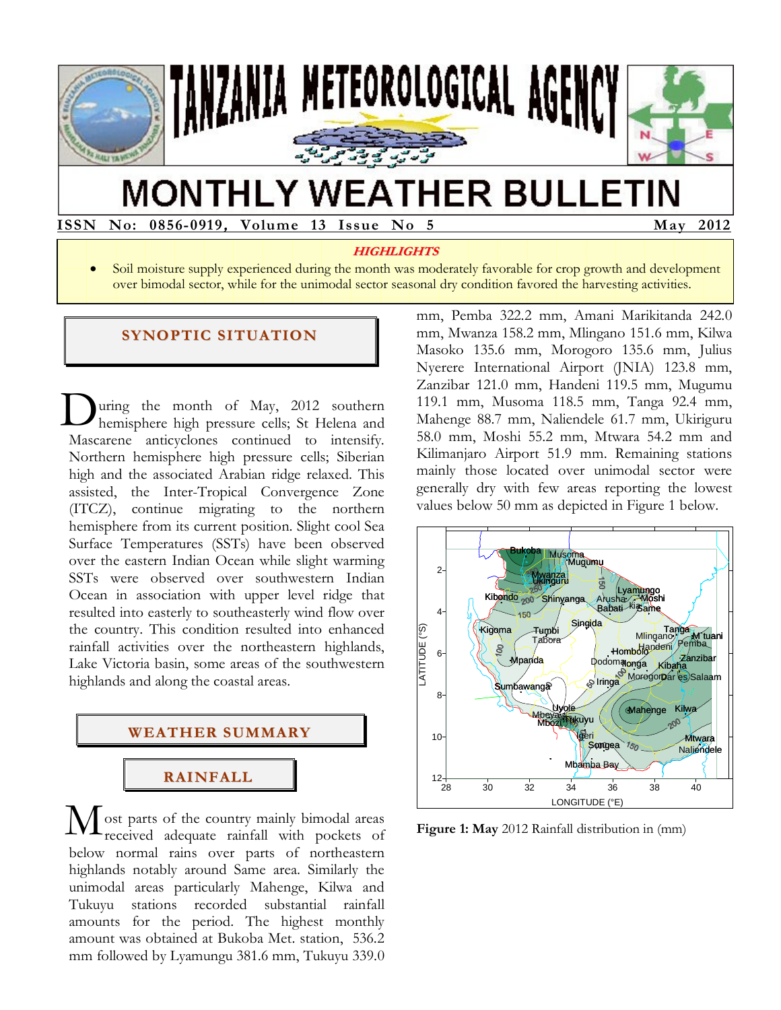

# **MONTHLY WEATHER BULLETIN**

**ISSN ISSN No: 0856-0919, Volume 13 Issue No 5 May 2012** 

#### **HIGHLIGHTS**

 Soil moisture supply experienced during the month was moderately favorable for crop growth and development over bimodal sector, while for the unimodal sector seasonal dry condition favored the harvesting activities.

#### **SYNOPTIC SITUATION**

uring the month of May, 2012 southern hemisphere high pressure cells; St Helena and Mascarene anticyclones continued to intensify. Northern hemisphere high pressure cells; Siberian high and the associated Arabian ridge relaxed. This assisted, the Inter-Tropical Convergence Zone (ITCZ), continue migrating to the northern hemisphere from its current position. Slight cool Sea Surface Temperatures (SSTs) have been observed over the eastern Indian Ocean while slight warming SSTs were observed over southwestern Indian Ocean in association with upper level ridge that resulted into easterly to southeasterly wind flow over the country. This condition resulted into enhanced rainfall activities over the northeastern highlands, Lake Victoria basin, some areas of the southwestern highlands and along the coastal areas. D



ost parts of the country mainly bimodal areas received adequate rainfall with pockets of below normal rains over parts of northeastern highlands notably around Same area. Similarly the unimodal areas particularly Mahenge, Kilwa and Tukuyu stations recorded substantial rainfall amounts for the period. The highest monthly amount was obtained at Bukoba Met. station, 536.2 mm followed by Lyamungu 381.6 mm, Tukuyu 339.0 M

mm, Pemba 322.2 mm, Amani Marikitanda 242.0 mm, Mwanza 158.2 mm, Mlingano 151.6 mm, Kilwa Masoko 135.6 mm, Morogoro 135.6 mm, Julius Nyerere International Airport (JNIA) 123.8 mm, Zanzibar 121.0 mm, Handeni 119.5 mm, Mugumu 119.1 mm, Musoma 118.5 mm, Tanga 92.4 mm, Mahenge 88.7 mm, Naliendele 61.7 mm, Ukiriguru 58.0 mm, Moshi 55.2 mm, Mtwara 54.2 mm and Kilimanjaro Airport 51.9 mm. Remaining stations mainly those located over unimodal sector were generally dry with few areas reporting the lowest values below 50 mm as depicted in Figure 1 below.



**Figure 1: May** 2012 Rainfall distribution in (mm)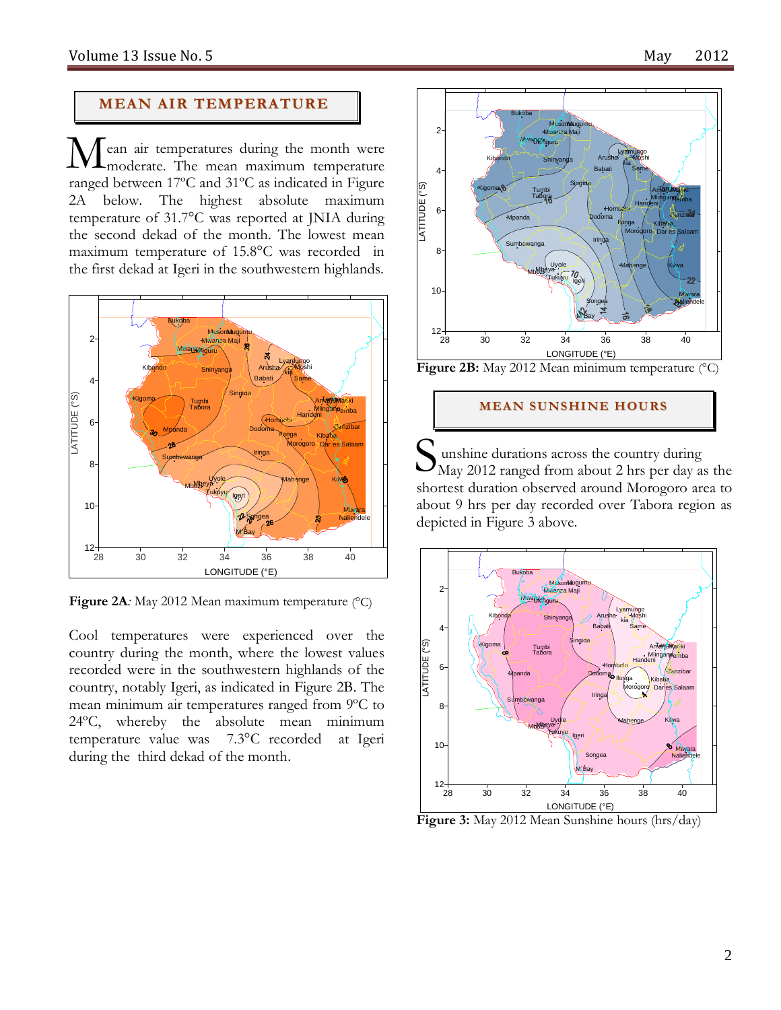## **MEAN AIR TEMPERATURE**

ean air temperatures during the month were Mean air temperatures during the month were<br>moderate. The mean maximum temperature ranged between 17ºC and 31ºC as indicated in Figure 2A below. The highest absolute maximum temperature of 31.7°C was reported at JNIA during the second dekad of the month. The lowest mean maximum temperature of 15.8°C was recorded in the first dekad at Igeri in the southwestern highlands.



**Figure 2A***:* May 2012 Mean maximum temperature (°C)

Cool temperatures were experienced over the country during the month, where the lowest values recorded were in the southwestern highlands of the country, notably Igeri, as indicated in Figure 2B. The mean minimum air temperatures ranged from 9ºC to 24ºC, whereby the absolute mean minimum temperature value was 7.3°C recorded at Igeri during the third dekad of the month.



**Figure 2B:** May 2012 Mean minimum temperature (°C)

#### **MEAN S UNS HI NE HOURS**

unshine durations across the country during May 2012 ranged from about 2 hrs per day as the shortest duration observed around Morogoro area to about 9 hrs per day recorded over Tabora region as depicted in Figure 3 above. S



**Figure 3:** May 2012 Mean Sunshine hours (hrs/day)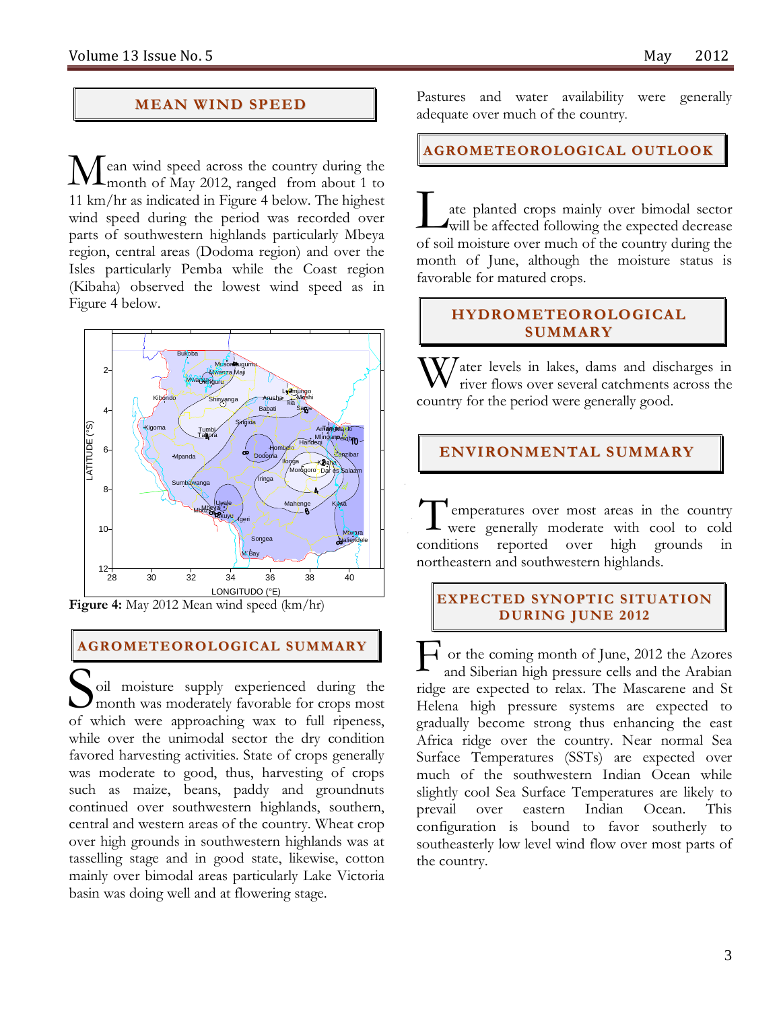## **MEAN WI ND SPEED**

ean wind speed across the country during the month of May 2012, ranged from about 1 to 11 km/hr as indicated in Figure 4 below. The highest wind speed during the period was recorded over parts of southwestern highlands particularly Mbeya region, central areas (Dodoma region) and over the Isles particularly Pemba while the Coast region (Kibaha) observed the lowest wind speed as in Figure 4 below.  $\mathbf{M}_{\scriptscriptstyle \rm m}^{\scriptscriptstyle \rm ea}$ 



**Figure 4:** May 2012 Mean wind speed (km/hr)

## **AGROMETEOROLOGICAL SUMMARY**

oil moisture supply experienced during the month was moderately favorable for crops most of which were approaching wax to full ripeness, while over the unimodal sector the dry condition favored harvesting activities. State of crops generally was moderate to good, thus, harvesting of crops such as maize, beans, paddy and groundnuts continued over southwestern highlands, southern, central and western areas of the country. Wheat crop over high grounds in southwestern highlands was at tasselling stage and in good state, likewise, cotton mainly over bimodal areas particularly Lake Victoria basin was doing well and at flowering stage.  $\overline{\mathbf{S}_{\text{mid}}^{\text{oil}}}$ 

Pastures and water availability were generally adequate over much of the country*.* 

**AGROMETEOROLOGICAL OUTLOOK**

ate planted crops mainly over bimodal sector will be affected following the expected decrease of soil moisture over much of the country during the month of June, although the moisture status is favorable for matured crops.  $\prod$ 

## **HYDROMETEOROLOGICAL SUMMARY**

 $\mathbf{W}$ ater levels in lakes, dams and discharges in river flows over several catchments across the river flows over several catchments across the country for the period were generally good.

## **ENVIRONMENTAL SUMMARY**

 emperatures over most areas in the country Temperatures over most areas in the country<br>were generally moderate with cool to cold conditions reported over high grounds in northeastern and southwestern highlands.

#### **EXPECTED SYNOPTIC SITUATION DURING JUNE 20 12**

or the coming month of June, 2012 the Azores and Siberian high pressure cells and the Arabian ridge are expected to relax. The Mascarene and St Helena high pressure systems are expected to gradually become strong thus enhancing the east Africa ridge over the country. Near normal Sea Surface Temperatures (SSTs) are expected over much of the southwestern Indian Ocean while slightly cool Sea Surface Temperatures are likely to prevail over eastern Indian Ocean. This configuration is bound to favor southerly to southeasterly low level wind flow over most parts of the country. F